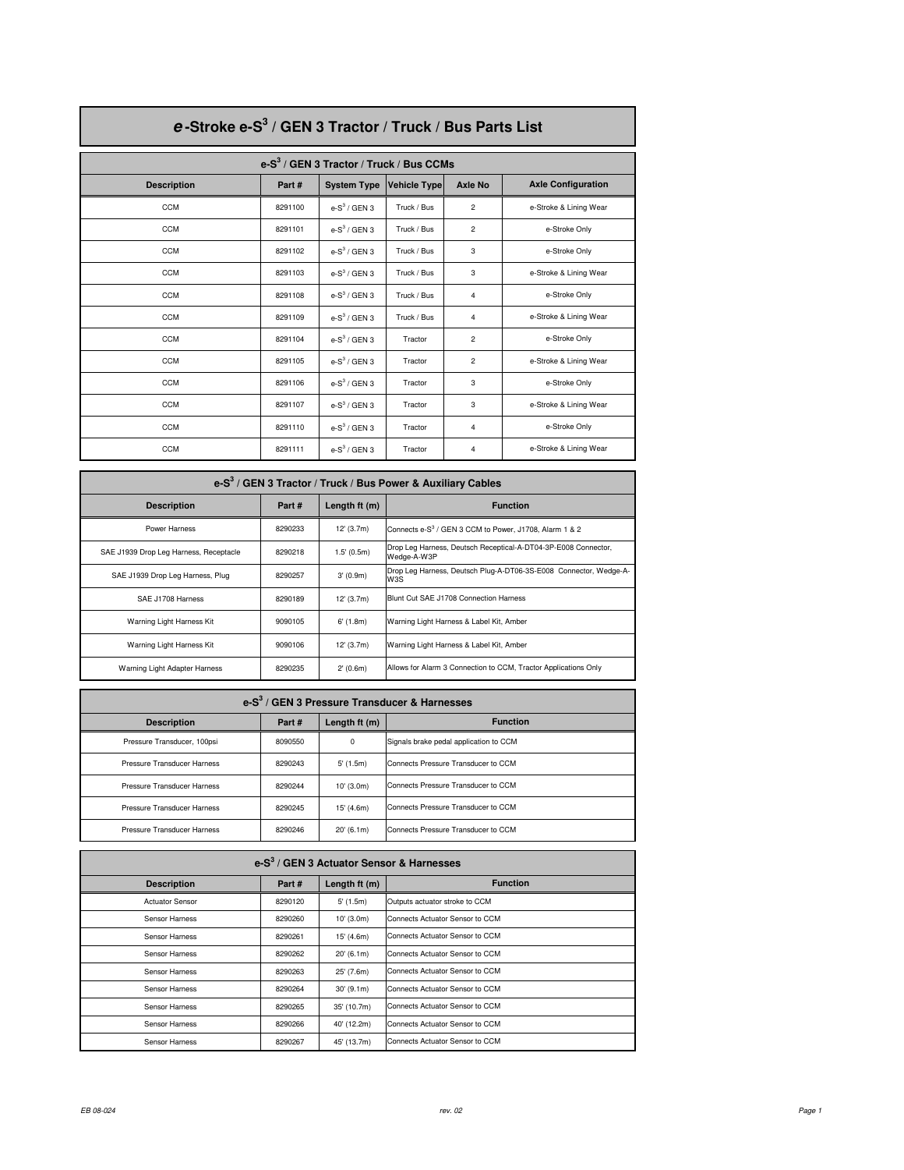| e-Stroke e-S <sup>3</sup> / GEN 3 Tractor / Truck / Bus Parts List |                                             |                    |                     |                |                           |  |  |  |
|--------------------------------------------------------------------|---------------------------------------------|--------------------|---------------------|----------------|---------------------------|--|--|--|
|                                                                    | e- $S^3$ / GEN 3 Tractor / Truck / Bus CCMs |                    |                     |                |                           |  |  |  |
| <b>Description</b>                                                 | Part#                                       | <b>System Type</b> | <b>Vehicle Type</b> | <b>Axle No</b> | <b>Axle Configuration</b> |  |  |  |
| <b>CCM</b>                                                         | 8291100                                     | $e-S^3$ / GEN 3    | Truck / Bus         | $\overline{2}$ | e-Stroke & Lining Wear    |  |  |  |
| <b>CCM</b>                                                         | 8291101                                     | e- $S^3$ / GEN 3   | Truck / Bus         | $\overline{2}$ | e-Stroke Only             |  |  |  |
| <b>CCM</b>                                                         | 8291102                                     | e- $S^3$ / GEN 3   | Truck / Bus         | 3              | e-Stroke Only             |  |  |  |
| <b>CCM</b>                                                         | 8291103                                     | e- $S^3$ / GEN 3   | Truck / Bus         | 3              | e-Stroke & Lining Wear    |  |  |  |
| <b>CCM</b>                                                         | 8291108                                     | e- $S^3$ / GEN 3   | Truck / Bus         | 4              | e-Stroke Only             |  |  |  |
| <b>CCM</b>                                                         | 8291109                                     | $e-S^3$ / GEN 3    | Truck / Bus         | 4              | e-Stroke & Lining Wear    |  |  |  |
| <b>CCM</b>                                                         | 8291104                                     | $e-S^3$ / GEN 3    | Tractor             | $\overline{2}$ | e-Stroke Only             |  |  |  |
| <b>CCM</b>                                                         | 8291105                                     | $e-S^3$ / GEN 3    | Tractor             | $\overline{a}$ | e-Stroke & Lining Wear    |  |  |  |
| <b>CCM</b>                                                         | 8291106                                     | $e-S^3$ / GEN 3    | Tractor             | 3              | e-Stroke Only             |  |  |  |
| <b>CCM</b>                                                         | 8291107                                     | e- $S^3$ / GEN 3   | Tractor             | 3              | e-Stroke & Lining Wear    |  |  |  |
| <b>CCM</b>                                                         | 8291110                                     | $e-S^3$ / GEN 3    | Tractor             | 4              | e-Stroke Only             |  |  |  |
| <b>CCM</b>                                                         | 8291111                                     | e- $S^3$ / GEN 3   | Tractor             | 4              | e-Stroke & Lining Wear    |  |  |  |

| e-S <sup>3</sup> / GEN 3 Tractor / Truck / Bus Power & Auxiliary Cables |         |                |                                                                               |  |
|-------------------------------------------------------------------------|---------|----------------|-------------------------------------------------------------------------------|--|
| <b>Description</b>                                                      | Part#   | Length $ft(m)$ | <b>Function</b>                                                               |  |
| Power Harness                                                           | 8290233 | 12' (3.7m)     | Connects e-S <sup>3</sup> / GEN 3 CCM to Power, J1708, Alarm 1 & 2            |  |
| SAE J1939 Drop Leg Harness, Receptacle                                  | 8290218 | 1.5' (0.5m)    | Drop Leg Harness, Deutsch Receptical-A-DT04-3P-E008 Connector,<br>Wedge-A-W3P |  |
| SAE J1939 Drop Leg Harness, Plug                                        | 8290257 | 3'(0.9m)       | Drop Leg Harness, Deutsch Plug-A-DT06-3S-E008 Connector, Wedge-A-<br>W3S      |  |
| SAE J1708 Harness                                                       | 8290189 | 12' (3.7m)     | Blunt Cut SAE J1708 Connection Harness                                        |  |
| Warning Light Harness Kit                                               | 9090105 | $6'$ (1.8m)    | Warning Light Harness & Label Kit, Amber                                      |  |
| Warning Light Harness Kit                                               | 9090106 | 12' (3.7m)     | Warning Light Harness & Label Kit, Amber                                      |  |
| Warning Light Adapter Harness                                           | 8290235 | 2'(0.6m)       | Allows for Alarm 3 Connection to CCM, Tractor Applications Only               |  |

| e-S <sup>3</sup> / GEN 3 Pressure Transducer & Harnesses |         |                |                                        |  |  |
|----------------------------------------------------------|---------|----------------|----------------------------------------|--|--|
| <b>Description</b>                                       | Part#   | Length $ft(m)$ | <b>Function</b>                        |  |  |
| Pressure Transducer, 100psi                              | 8090550 | $\mathbf 0$    | Signals brake pedal application to CCM |  |  |
| Pressure Transducer Harness                              | 8290243 | $5'$ (1.5m)    | Connects Pressure Transducer to CCM    |  |  |
| Pressure Transducer Harness                              | 8290244 | 10' (3.0m)     | Connects Pressure Transducer to CCM    |  |  |
| Pressure Transducer Harness                              | 8290245 | 15' (4.6m)     | Connects Pressure Transducer to CCM    |  |  |
| Pressure Transducer Harness                              | 8290246 | 20' (6.1m)     | Connects Pressure Transducer to CCM    |  |  |

| $e-S3$ / GEN 3 Actuator Sensor & Harnesses |         |               |                                 |  |  |
|--------------------------------------------|---------|---------------|---------------------------------|--|--|
| <b>Description</b>                         | Part#   | Length ft (m) | <b>Function</b>                 |  |  |
| <b>Actuator Sensor</b>                     | 8290120 | $5'$ (1.5m)   | Outputs actuator stroke to CCM  |  |  |
| Sensor Harness                             | 8290260 | 10' (3.0m)    | Connects Actuator Sensor to CCM |  |  |
| Sensor Harness                             | 8290261 | 15' (4.6m)    | Connects Actuator Sensor to CCM |  |  |
| Sensor Harness                             | 8290262 | 20'(6.1m)     | Connects Actuator Sensor to CCM |  |  |
| Sensor Harness                             | 8290263 | 25' (7.6m)    | Connects Actuator Sensor to CCM |  |  |
| Sensor Harness                             | 8290264 | 30'(9.1m)     | Connects Actuator Sensor to CCM |  |  |
| Sensor Harness                             | 8290265 | 35' (10.7m)   | Connects Actuator Sensor to CCM |  |  |
| Sensor Harness                             | 8290266 | 40' (12.2m)   | Connects Actuator Sensor to CCM |  |  |
| Sensor Harness                             | 8290267 | 45' (13.7m)   | Connects Actuator Sensor to CCM |  |  |

Г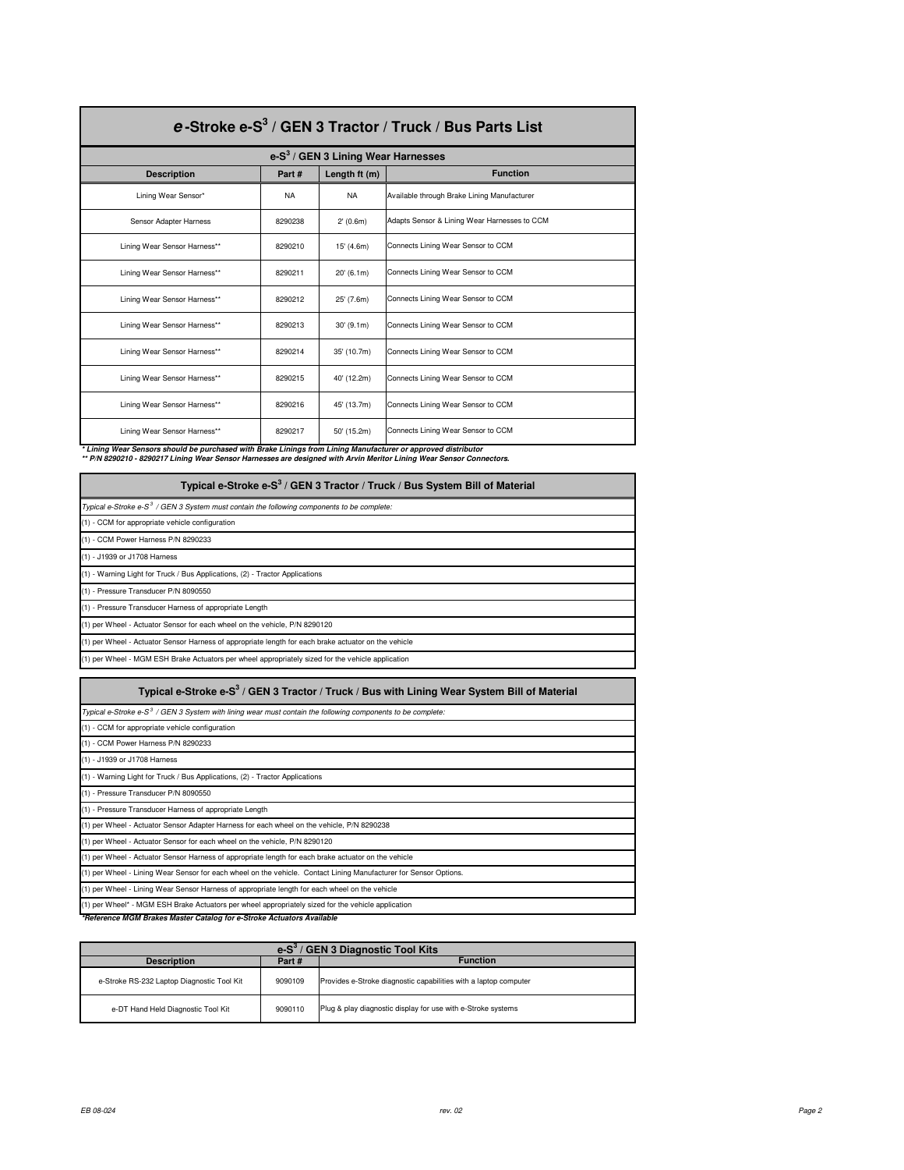| e-Stroke e-S <sup>3</sup> / GEN 3 Tractor / Truck / Bus Parts List |           |                                      |                                              |  |  |
|--------------------------------------------------------------------|-----------|--------------------------------------|----------------------------------------------|--|--|
|                                                                    |           | $e-S3$ / GEN 3 Lining Wear Harnesses |                                              |  |  |
| <b>Description</b>                                                 | Part#     | Length ft (m)                        | <b>Function</b>                              |  |  |
| Lining Wear Sensor*                                                | <b>NA</b> | <b>NA</b>                            | Available through Brake Lining Manufacturer  |  |  |
| Sensor Adapter Harness                                             | 8290238   | 2' (0.6m)                            | Adapts Sensor & Lining Wear Harnesses to CCM |  |  |
| Lining Wear Sensor Harness**                                       | 8290210   | 15' (4.6m)                           | Connects Lining Wear Sensor to CCM           |  |  |
| Lining Wear Sensor Harness**                                       | 8290211   | 20' (6.1m)                           | Connects Lining Wear Sensor to CCM           |  |  |
| Lining Wear Sensor Harness**                                       | 8290212   | 25' (7.6m)                           | Connects Lining Wear Sensor to CCM           |  |  |
| Lining Wear Sensor Harness**                                       | 8290213   | $30'$ (9.1m)                         | Connects Lining Wear Sensor to CCM           |  |  |
| Lining Wear Sensor Harness**                                       | 8290214   | 35' (10.7m)                          | Connects Lining Wear Sensor to CCM           |  |  |
| Lining Wear Sensor Harness**                                       | 8290215   | 40' (12.2m)                          | Connects Lining Wear Sensor to CCM           |  |  |
| Lining Wear Sensor Harness**                                       | 8290216   | 45' (13.7m)                          | Connects Lining Wear Sensor to CCM           |  |  |
| Lining Wear Sensor Harness**                                       | 8290217   | 50' (15.2m)                          | Connects Lining Wear Sensor to CCM           |  |  |

\* Lining Wear Sensors should be purchased with Brake Linings from Lining Manufacturer or approved distributor<br>\*\* P/N 8290210 - 8290217 Lining Wear Sensor Harnesses are designed with Arvin Meritor Lining Wear Sensor Connect

| Typical e-Stroke e-S <sup>3</sup> / GEN 3 Tractor / Truck / Bus System Bill of Material                |
|--------------------------------------------------------------------------------------------------------|
| Typical e-Stroke e-S <sup>3</sup> / GEN 3 System must contain the following components to be complete: |
| (1) - CCM for appropriate vehicle configuration                                                        |
| (1) - CCM Power Harness P/N 8290233                                                                    |
| (1) - J1939 or J1708 Harness                                                                           |
| (1) - Warning Light for Truck / Bus Applications, (2) - Tractor Applications                           |
| (1) - Pressure Transducer P/N 8090550                                                                  |
| (1) - Pressure Transducer Harness of appropriate Length                                                |
| (1) per Wheel - Actuator Sensor for each wheel on the vehicle, P/N 8290120                             |
| (1) per Wheel - Actuator Sensor Harness of appropriate length for each brake actuator on the vehicle   |
| (1) per Wheel - MGM ESH Brake Actuators per wheel appropriately sized for the vehicle application      |

| Typical e-Stroke e-S <sup>3</sup> / GEN 3 Tractor / Truck / Bus with Lining Wear System Bill of Material                |
|-------------------------------------------------------------------------------------------------------------------------|
| Typical e-Stroke e-S <sup>3</sup> / GEN 3 System with lining wear must contain the following components to be complete: |
| (1) - CCM for appropriate vehicle configuration                                                                         |
| (1) - CCM Power Harness P/N 8290233                                                                                     |
| (1) - J1939 or J1708 Harness                                                                                            |
| (1) - Warning Light for Truck / Bus Applications, (2) - Tractor Applications                                            |
| (1) - Pressure Transducer P/N 8090550                                                                                   |
| (1) - Pressure Transducer Harness of appropriate Length                                                                 |
| (1) per Wheel - Actuator Sensor Adapter Harness for each wheel on the vehicle, P/N 8290238                              |
| (1) per Wheel - Actuator Sensor for each wheel on the vehicle, P/N 8290120                                              |
| (1) per Wheel - Actuator Sensor Harness of appropriate length for each brake actuator on the vehicle                    |
| (1) per Wheel - Lining Wear Sensor for each wheel on the vehicle. Contact Lining Manufacturer for Sensor Options.       |
| (1) per Wheel - Lining Wear Sensor Harness of appropriate length for each wheel on the vehicle                          |
| (1) per Wheel* - MGM ESH Brake Actuators per wheel appropriately sized for the vehicle application                      |
| *Reference MGM Brakes Master Catalog for e-Stroke Actuators Available                                                   |

| leference MGM Brakes Master Catalog for e-Stroke Actuators Availabl |  |
|---------------------------------------------------------------------|--|
|---------------------------------------------------------------------|--|

| GEN 3 Diagnostic Tool Kits<br>$e-S^3/$         |         |                                                                  |  |  |
|------------------------------------------------|---------|------------------------------------------------------------------|--|--|
| <b>Function</b><br><b>Description</b><br>Part# |         |                                                                  |  |  |
| e-Stroke RS-232 Laptop Diagnostic Tool Kit     | 9090109 | Provides e-Stroke diagnostic capabilities with a laptop computer |  |  |
| e-DT Hand Held Diagnostic Tool Kit             | 9090110 | Plug & play diagnostic display for use with e-Stroke systems     |  |  |

г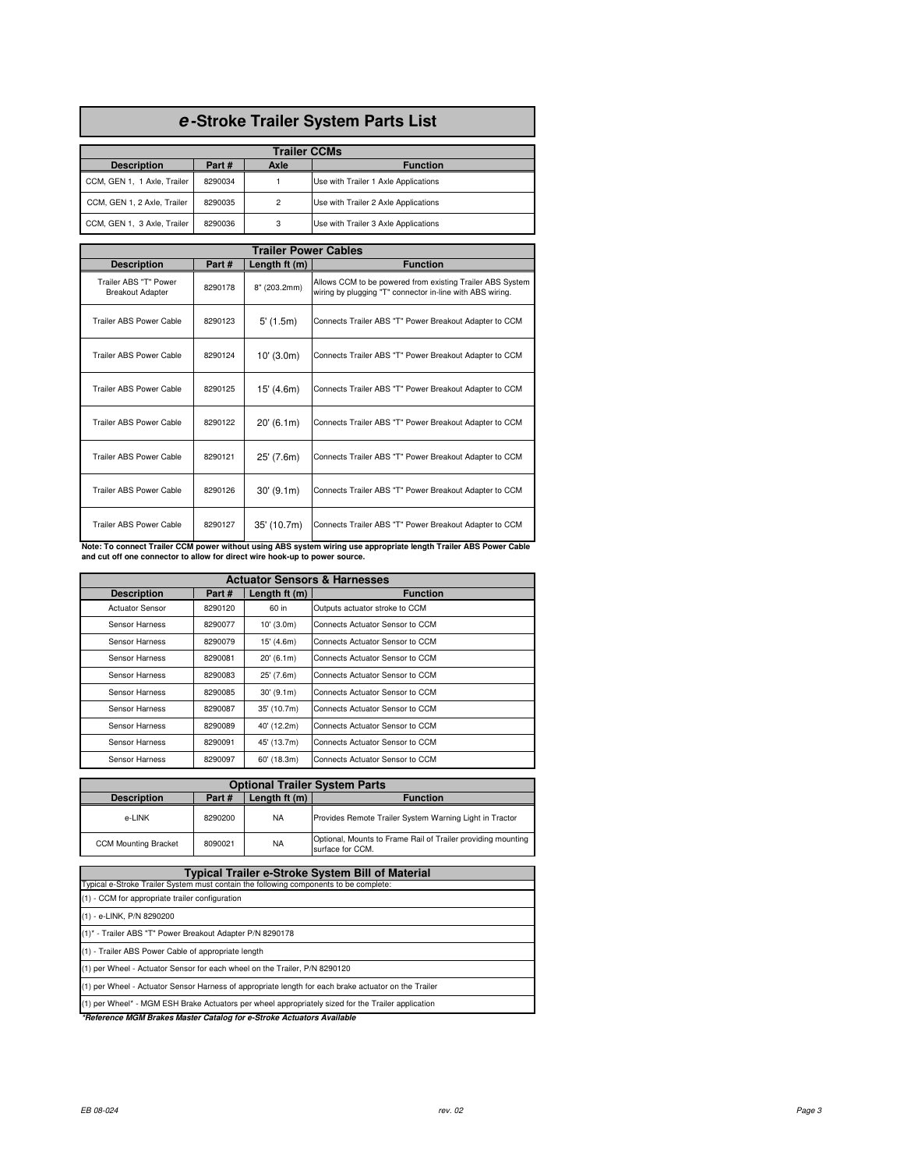## **e -Stroke Trailer System Parts List**

| <b>Trailer CCMs</b>                                    |         |                |                                      |  |  |  |
|--------------------------------------------------------|---------|----------------|--------------------------------------|--|--|--|
| Part#<br>Axle<br><b>Description</b><br><b>Function</b> |         |                |                                      |  |  |  |
| CCM, GEN 1, 1 Axle, Trailer                            | 8290034 |                | Use with Trailer 1 Axle Applications |  |  |  |
| CCM, GEN 1, 2 Axle, Trailer                            | 8290035 | $\overline{2}$ | Use with Trailer 2 Axle Applications |  |  |  |
| CCM, GEN 1, 3 Axle, Trailer                            | 8290036 | 3              | Use with Trailer 3 Axle Applications |  |  |  |

| <b>Trailer Power Cables</b>                      |         |                |                                                                                                                        |  |  |  |  |
|--------------------------------------------------|---------|----------------|------------------------------------------------------------------------------------------------------------------------|--|--|--|--|
| <b>Description</b>                               | Part#   | Length $ft(m)$ | <b>Function</b>                                                                                                        |  |  |  |  |
| Trailer ABS "T" Power<br><b>Breakout Adapter</b> | 8290178 | 8" (203.2mm)   | Allows CCM to be powered from existing Trailer ABS System<br>wiring by plugging "T" connector in-line with ABS wiring. |  |  |  |  |
| Trailer ABS Power Cable                          | 8290123 | 5'(1.5m)       | Connects Trailer ABS "T" Power Breakout Adapter to CCM                                                                 |  |  |  |  |
| Trailer ABS Power Cable                          | 8290124 | $10'$ (3.0m)   | Connects Trailer ABS "T" Power Breakout Adapter to CCM                                                                 |  |  |  |  |
| <b>Trailer ABS Power Cable</b>                   | 8290125 | 15' (4.6m)     | Connects Trailer ABS "T" Power Breakout Adapter to CCM                                                                 |  |  |  |  |
| Trailer ABS Power Cable                          | 8290122 | 20'(6.1m)      | Connects Trailer ABS "T" Power Breakout Adapter to CCM                                                                 |  |  |  |  |
| <b>Trailer ABS Power Cable</b>                   | 8290121 | 25' (7.6m)     | Connects Trailer ABS "T" Power Breakout Adapter to CCM                                                                 |  |  |  |  |
| <b>Trailer ABS Power Cable</b>                   | 8290126 | 30'(9.1m)      | Connects Trailer ABS "T" Power Breakout Adapter to CCM                                                                 |  |  |  |  |
| Trailer ABS Power Cable                          | 8290127 | 35' (10.7m)    | Connects Trailer ABS "T" Power Breakout Adapter to CCM                                                                 |  |  |  |  |

**Note: To connect Trailer CCM power without using ABS system wiring use appropriate length Trailer ABS Power Cable and cut off one connector to allow for direct wire hook-up to power source.**

| <b>Actuator Sensors &amp; Harnesses</b> |         |                |                                 |  |  |  |  |
|-----------------------------------------|---------|----------------|---------------------------------|--|--|--|--|
| <b>Description</b>                      | Part#   | Length $ft(m)$ | <b>Function</b>                 |  |  |  |  |
| <b>Actuator Sensor</b>                  | 8290120 | 60 in          | Outputs actuator stroke to CCM  |  |  |  |  |
| Sensor Harness                          | 8290077 | $10'$ (3.0m)   | Connects Actuator Sensor to CCM |  |  |  |  |
| Sensor Harness                          | 8290079 | 15' (4.6m)     | Connects Actuator Sensor to CCM |  |  |  |  |
| Sensor Harness                          | 8290081 | 20' (6.1m)     | Connects Actuator Sensor to CCM |  |  |  |  |
| Sensor Harness                          | 8290083 | 25' (7.6m)     | Connects Actuator Sensor to CCM |  |  |  |  |
| Sensor Harness                          | 8290085 | 30'(9.1m)      | Connects Actuator Sensor to CCM |  |  |  |  |
| Sensor Harness                          | 8290087 | 35' (10.7m)    | Connects Actuator Sensor to CCM |  |  |  |  |
| Sensor Harness                          | 8290089 | 40' (12.2m)    | Connects Actuator Sensor to CCM |  |  |  |  |
| Sensor Harness                          | 8290091 | 45' (13.7m)    | Connects Actuator Sensor to CCM |  |  |  |  |
| Sensor Harness                          | 8290097 | 60' (18.3m)    | Connects Actuator Sensor to CCM |  |  |  |  |

| <b>Optional Trailer System Parts</b> |         |               |                                                                                  |  |
|--------------------------------------|---------|---------------|----------------------------------------------------------------------------------|--|
| <b>Description</b>                   | Part#   | Length ft (m) | <b>Function</b>                                                                  |  |
| e-LINK                               | 8290200 | <b>NA</b>     | Provides Remote Trailer System Warning Light in Tractor                          |  |
| <b>CCM Mounting Bracket</b>          | 8090021 | <b>NA</b>     | Optional, Mounts to Frame Rail of Trailer providing mounting<br>surface for CCM. |  |

| Typical Trailer e-Stroke System Bill of Material                                                     |
|------------------------------------------------------------------------------------------------------|
| Typical e-Stroke Trailer System must contain the following components to be complete:                |
| (1) - CCM for appropriate trailer configuration                                                      |
| (1) - e-LINK, P/N 8290200                                                                            |
| (1)* - Trailer ABS "T" Power Breakout Adapter P/N 8290178                                            |
| (1) - Trailer ABS Power Cable of appropriate length                                                  |
| (1) per Wheel - Actuator Sensor for each wheel on the Trailer, P/N 8290120                           |
| (1) per Wheel - Actuator Sensor Harness of appropriate length for each brake actuator on the Trailer |
| (1) per Wheel* - MGM ESH Brake Actuators per wheel appropriately sized for the Trailer application   |
| $\sim$ $\sim$<br>                                                                                    |

**\*Reference MGM Brakes Master Catalog for e-Stroke Actuators Available**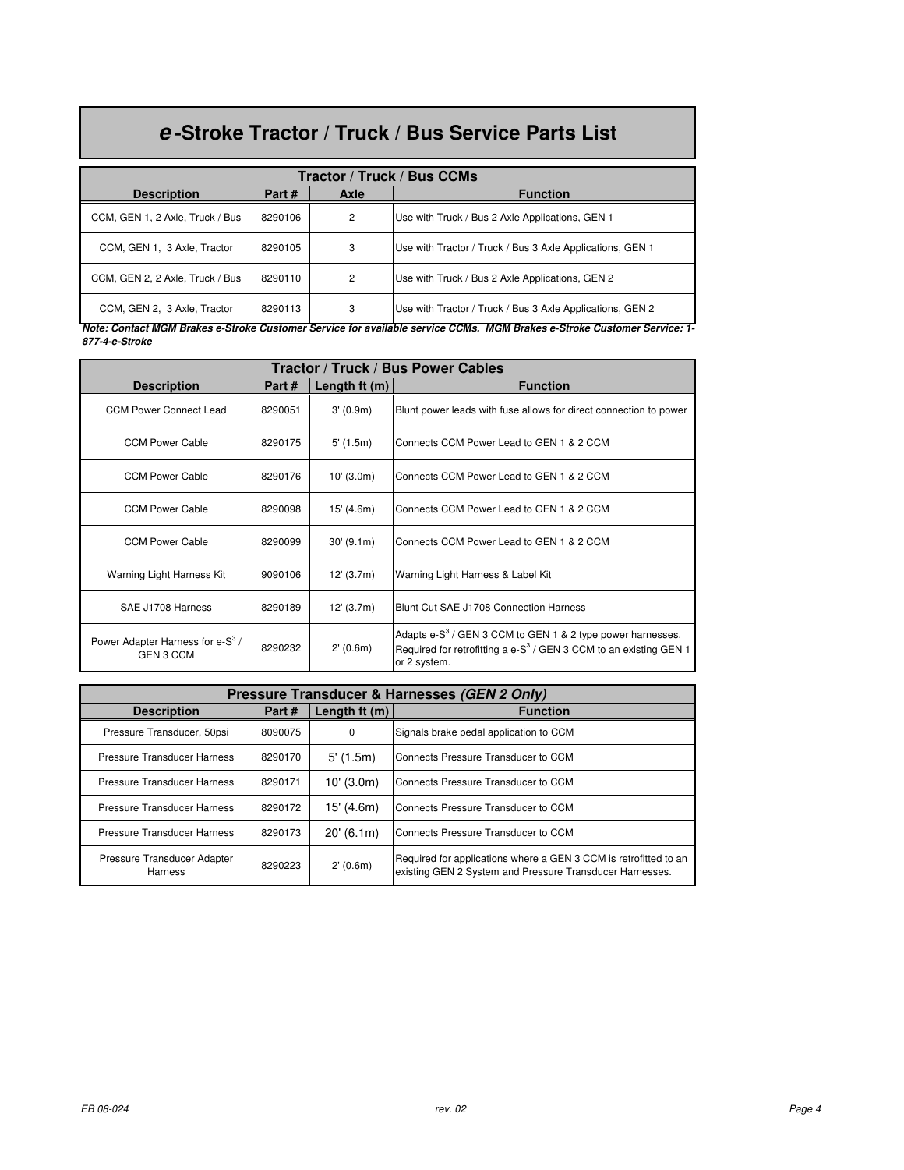## **e -Stroke Tractor / Truck / Bus Service Parts List**

| Tractor / Truck / Bus CCMs      |         |      |                                                           |  |
|---------------------------------|---------|------|-----------------------------------------------------------|--|
| <b>Description</b>              | Part#   | Axle | <b>Function</b>                                           |  |
| CCM, GEN 1, 2 Axle, Truck / Bus | 8290106 | 2    | Use with Truck / Bus 2 Axle Applications, GEN 1           |  |
| CCM, GEN 1, 3 Axle, Tractor     | 8290105 | 3    | Use with Tractor / Truck / Bus 3 Axle Applications, GEN 1 |  |
| CCM, GEN 2, 2 Axle, Truck / Bus | 8290110 | 2    | Use with Truck / Bus 2 Axle Applications, GEN 2           |  |
| CCM, GEN 2, 3 Axle, Tractor     | 8290113 | 3    | Use with Tractor / Truck / Bus 3 Axle Applications, GEN 2 |  |

**Note: Contact MGM Brakes e-Stroke Customer Service for available service CCMs. MGM Brakes e-Stroke Customer Service: 1- 877-4-e-Stroke**

| Tractor / Truck / Bus Power Cables                               |         |               |                                                                                                                                                                 |  |
|------------------------------------------------------------------|---------|---------------|-----------------------------------------------------------------------------------------------------------------------------------------------------------------|--|
| <b>Description</b>                                               | Part#   | Length ft (m) | <b>Function</b>                                                                                                                                                 |  |
| <b>CCM Power Connect Lead</b>                                    | 8290051 | 3'(0.9m)      | Blunt power leads with fuse allows for direct connection to power                                                                                               |  |
| <b>CCM Power Cable</b>                                           | 8290175 | $5'$ (1.5m)   | Connects CCM Power Lead to GEN 1 & 2 CCM                                                                                                                        |  |
| <b>CCM Power Cable</b>                                           | 8290176 | 10' (3.0m)    | Connects CCM Power Lead to GEN 1 & 2 CCM                                                                                                                        |  |
| <b>CCM Power Cable</b>                                           | 8290098 | 15' (4.6m)    | Connects CCM Power Lead to GEN 1 & 2 CCM                                                                                                                        |  |
| <b>CCM Power Cable</b>                                           | 8290099 | 30'(9.1m)     | Connects CCM Power Lead to GEN 1 & 2 CCM                                                                                                                        |  |
| Warning Light Harness Kit                                        | 9090106 | 12' (3.7m)    | Warning Light Harness & Label Kit                                                                                                                               |  |
| SAE J1708 Harness                                                | 8290189 | 12' (3.7m)    | Blunt Cut SAE J1708 Connection Harness                                                                                                                          |  |
| Power Adapter Harness for e-S <sup>3</sup> /<br><b>GEN 3 CCM</b> | 8290232 | 2'(0.6m)      | Adapts e-S <sup>3</sup> / GEN 3 CCM to GEN 1 & 2 type power harnesses.<br>Required for retrofitting a e- $S^3$ / GEN 3 CCM to an existing GEN 1<br>or 2 system. |  |

| Pressure Transducer & Harnesses (GEN 2 Only) |         |                |                                                                                                                              |
|----------------------------------------------|---------|----------------|------------------------------------------------------------------------------------------------------------------------------|
| <b>Description</b>                           | Part#   | Length $ft(m)$ | <b>Function</b>                                                                                                              |
| Pressure Transducer, 50psi                   | 8090075 | $\Omega$       | Signals brake pedal application to CCM                                                                                       |
| <b>Pressure Transducer Harness</b>           | 8290170 | 5'(1.5m)       | Connects Pressure Transducer to CCM                                                                                          |
| <b>Pressure Transducer Harness</b>           | 8290171 | $10'$ (3.0m)   | Connects Pressure Transducer to CCM                                                                                          |
| Pressure Transducer Harness                  | 8290172 | 15' (4.6m)     | Connects Pressure Transducer to CCM                                                                                          |
| <b>Pressure Transducer Harness</b>           | 8290173 | 20'(6.1m)      | Connects Pressure Transducer to CCM                                                                                          |
| Pressure Transducer Adapter<br>Harness       | 8290223 | 2'(0.6m)       | Required for applications where a GEN 3 CCM is retrofitted to an<br>existing GEN 2 System and Pressure Transducer Harnesses. |